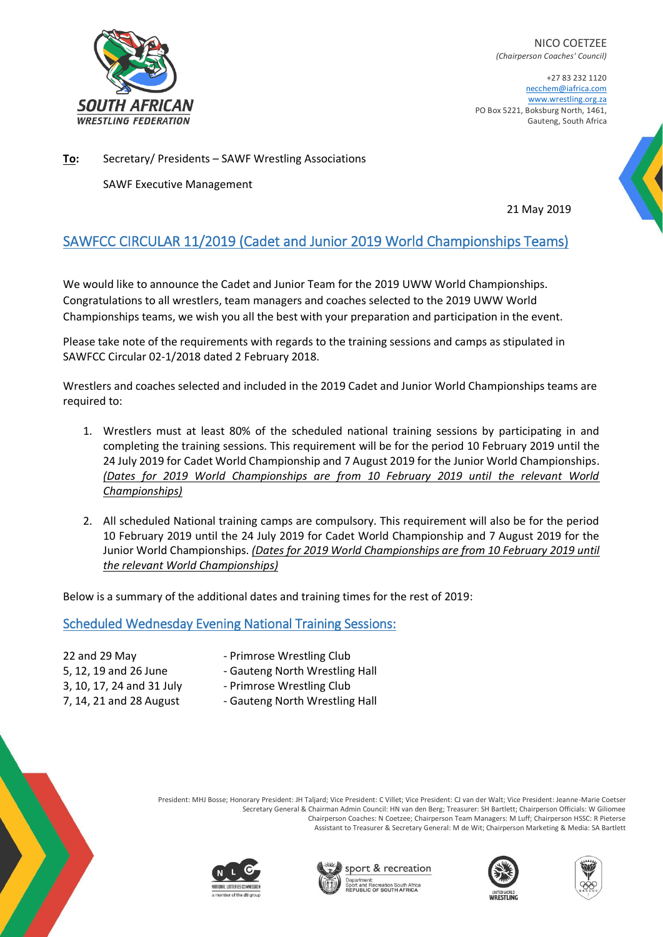

NICO COETZEE *(Chairperson Coaches' Council)*

+27 83 232 1120 necchem@iafrica.com [www.wrestling.org.za](http://www.wrestling.org.za/) PO Box 5221, Boksburg North, 1461, Gauteng, South Africa

**To:** Secretary/ Presidents – SAWF Wrestling Associations

SAWF Executive Management

21 May 2019

# SAWFCC CIRCULAR 11/2019 (Cadet and Junior 2019 World Championships Teams)

We would like to announce the Cadet and Junior Team for the 2019 UWW World Championships. Congratulations to all wrestlers, team managers and coaches selected to the 2019 UWW World Championships teams, we wish you all the best with your preparation and participation in the event.

Please take note of the requirements with regards to the training sessions and camps as stipulated in SAWFCC Circular 02-1/2018 dated 2 February 2018.

Wrestlers and coaches selected and included in the 2019 Cadet and Junior World Championships teams are required to:

- 1. Wrestlers must at least 80% of the scheduled national training sessions by participating in and completing the training sessions. This requirement will be for the period 10 February 2019 until the 24 July 2019 for Cadet World Championship and 7 August 2019 for the Junior World Championships. *(Dates for 2019 World Championships are from 10 February 2019 until the relevant World Championships)*
- 2. All scheduled National training camps are compulsory. This requirement will also be for the period 10 February 2019 until the 24 July 2019 for Cadet World Championship and 7 August 2019 for the Junior World Championships. *(Dates for 2019 World Championships are from 10 February 2019 until the relevant World Championships)*

Below is a summary of the additional dates and training times for the rest of 2019:

#### Scheduled Wednesday Evening National Training Sessions:

- 
- 22 and 29 May  **Primrose Wrestling Club**
- 5, 12, 19 and 26 June Gauteng North Wrestling Hall
- 3, 10, 17, 24 and 31 July Primrose Wrestling Club
- 7, 14, 21 and 28 August Gauteng North Wrestling Hall



President: MHJ Bosse; Honorary President: JH Taljard; Vice President: C Villet; Vice President: CJ van der Walt; Vice President: Jeanne-Marie Coetser Secretary General & Chairman Admin Council: HN van den Berg; Treasurer: SH Bartlett; Chairperson Officials: W Giliomee Chairperson Coaches: N Coetzee; Chairperson Team Managers: M Luff; Chairperson HSSC: R Pieterse Assistant to Treasurer & Secretary General: M de Wit; Chairperson Marketing & Media: SA Bartlett









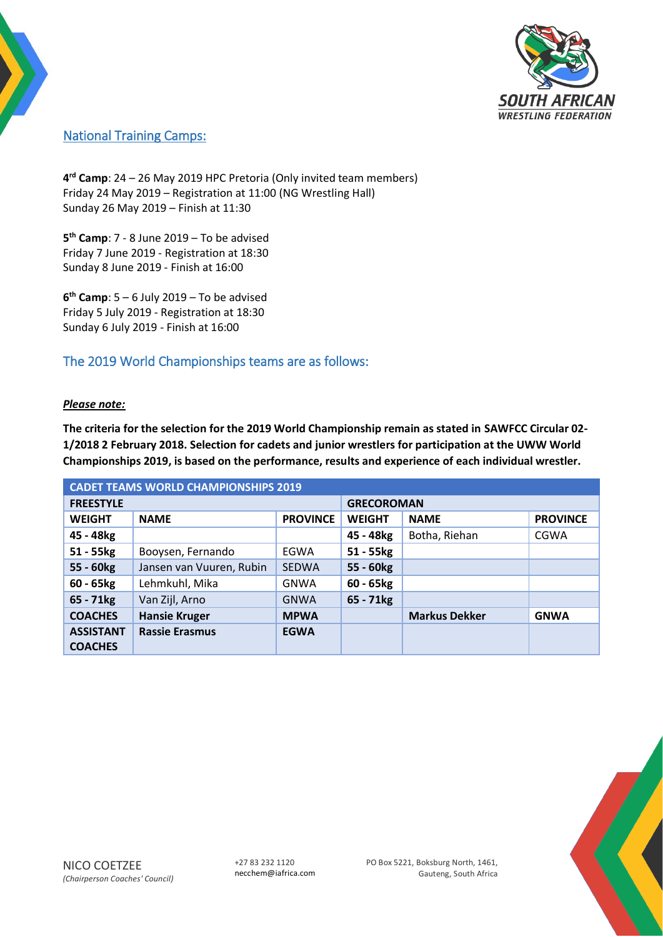

## National Training Camps:

**4 rd Camp**: 24 – 26 May 2019 HPC Pretoria (Only invited team members) Friday 24 May 2019 – Registration at 11:00 (NG Wrestling Hall) Sunday 26 May 2019 – Finish at 11:30

**5 th Camp**: 7 - 8 June 2019 – To be advised Friday 7 June 2019 - Registration at 18:30 Sunday 8 June 2019 - Finish at 16:00

**6 th Camp**: 5 – 6 July 2019 – To be advised Friday 5 July 2019 - Registration at 18:30 Sunday 6 July 2019 - Finish at 16:00

### The 2019 World Championships teams are as follows:

#### *Please note:*

**The criteria for the selection for the 2019 World Championship remain as stated in SAWFCC Circular 02- 1/2018 2 February 2018. Selection for cadets and junior wrestlers for participation at the UWW World Championships 2019, is based on the performance, results and experience of each individual wrestler.** 

| <b>CADET TEAMS WORLD CHAMPIONSHIPS 2019</b> |                          |                 |                   |                      |                 |  |
|---------------------------------------------|--------------------------|-----------------|-------------------|----------------------|-----------------|--|
| <b>FREESTYLE</b>                            |                          |                 | <b>GRECOROMAN</b> |                      |                 |  |
| <b>WEIGHT</b>                               | <b>NAME</b>              | <b>PROVINCE</b> | <b>WEIGHT</b>     | <b>NAME</b>          | <b>PROVINCE</b> |  |
| 45 - 48kg                                   |                          |                 | 45 - 48kg         | Botha, Riehan        | <b>CGWA</b>     |  |
| 51 - 55kg                                   | Booysen, Fernando        | <b>EGWA</b>     | 51 - 55kg         |                      |                 |  |
| 55 - 60kg                                   | Jansen van Vuuren, Rubin | <b>SEDWA</b>    | 55 - 60kg         |                      |                 |  |
| $60 - 65$ <sub>kg</sub>                     | Lehmkuhl, Mika           | <b>GNWA</b>     | 60 - 65kg         |                      |                 |  |
| $65 - 71kg$                                 | Van Zijl, Arno           | <b>GNWA</b>     | $65 - 71kg$       |                      |                 |  |
| <b>COACHES</b>                              | <b>Hansie Kruger</b>     | <b>MPWA</b>     |                   | <b>Markus Dekker</b> | <b>GNWA</b>     |  |
| <b>ASSISTANT</b>                            | <b>Rassie Erasmus</b>    | <b>EGWA</b>     |                   |                      |                 |  |
| <b>COACHES</b>                              |                          |                 |                   |                      |                 |  |